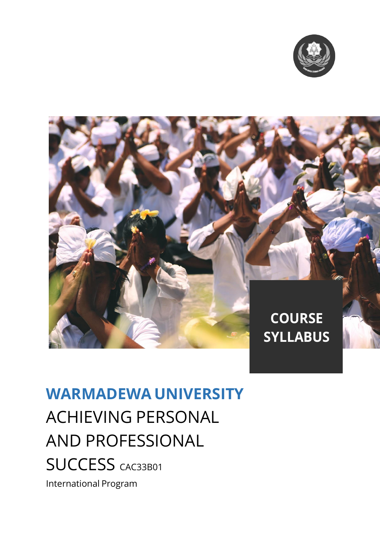



# **WARMADEWA UNIVERSITY** ACHIEVING PERSONAL AND PROFESSIONAL SUCCESS CAC33B01 International Program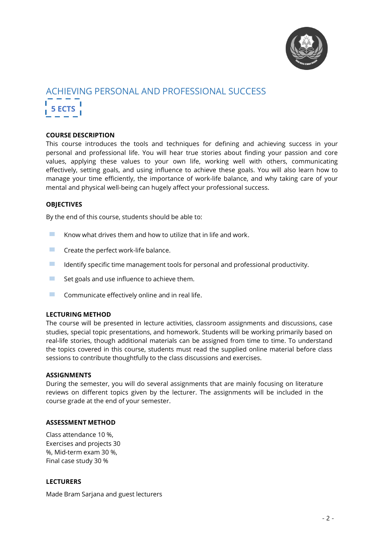

# ACHIEVING PERSONAL AND PROFESSIONAL SUCCESS **5 ECTS**

# **COURSE DESCRIPTION**

This course introduces the tools and techniques for defining and achieving success in your personal and professional life. You will hear true stories about finding your passion and core values, applying these values to your own life, working well with others, communicating effectively, setting goals, and using influence to achieve these goals. You will also learn how to manage your time efficiently, the importance of work-life balance, and why taking care of your mental and physical well-being can hugely affect your professional success.

# **OBJECTIVES**

By the end of this course, students should be able to:

- **EXECUTE:** Know what drives them and how to utilize that in life and work.
- $\blacksquare$  Create the perfect work-life balance.
- **Example 1** Identify specific time management tools for personal and professional productivity.<br>
Set goals and use influence to achieve them
- Set goals and use influence to achieve them.
- $\blacksquare$  Communicate effectively online and in real life.

#### **LECTURING METHOD**

The course will be presented in lecture activities, classroom assignments and discussions, case studies, special topic presentations, and homework. Students will be working primarily based on real-life stories, though additional materials can be assigned from time to time. To understand the topics covered in this course, students must read the supplied online material before class sessions to contribute thoughtfully to the class discussions and exercises.

#### **ASSIGNMENTS**

During the semester, you will do several assignments that are mainly focusing on literature reviews on different topics given by the lecturer. The assignments will be included in the course grade at the end of your semester.

#### **ASSESSMENT METHOD**

Class attendance 10 %, Exercises and projects 30 %, Mid-term exam 30 %, Final case study 30 %

#### **LECTURERS**

Made Bram Sarjana and guest lecturers